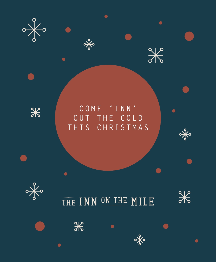



 $\frac{1}{\sqrt{2}}$ 

 $\frac{1}{\sqrt{6}}$ 

 $\bullet$ 

 $\bullet$ 



# COME 'INN' OUT THE COLD THIS CHRISTMAS

 $\bullet$ 

 $\frac{1}{\sqrt[3]{6}}$ 



 $\bullet$ 

 $\bullet$ 

 $\frac{1}{2}$ 

THE INN ON THE MILE

 $\bullet$ 

 $\frac{1}{\sqrt{2}}$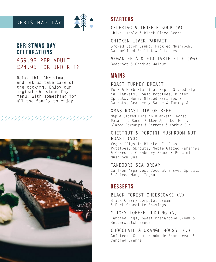# **CHRISTMAS DAY**



# **CHRISTMAS DAY CELEBRATIONS**

## **£59.95 PER ADULT £24.95 FOR UNDER 12**

**Relax this Christmas and let us take care of the cooking. Enjoy our magical Christmas Day menu, with something for all the family to enjoy.**

/////////



## **STARTERS**

**CELERIAC & TRUFFLE SOUP (V)** Chive, Apple & Black Olive Bread

**CHICKEN LIVER PARFAIT** Smoked Bacon Crumb, Pickled Mushroom, Caramelised Shallot & Oatcakes

**VEGAN FETA & FIG TARTELETTE (VG)** Beetroot & Candied Walnut

## **MAINS**

#### **ROAST TURKEY BREAST**

Pork & Herb Stuffing, Maple Glazed Pig in Blankets, Roast Potatoes, Butter Sprouts, Honey Glazed Parsnips & Carrots, Cranberry Sauce & Turkey Jus

### **XMAS ROAST RIB OF BEEF**

Maple Glazed Pigs in Blankets, Roast Potatoes, Bacon Butter Sprouts, Honey Glazed Parsnips & Carrots & Yorkie Jus

#### **CHESTNUT & PORCINI MUSHROOM NUT ROAST (VG)**

Vegan "Pigs In Blankets", Roast Potatoes, Sprouts, Maple Glazed Parsnips & Carrots, Cranberry Sauce & Porcini Mushroom Jus

#### **TANDOORI SEA BREAM**

Saffron Asparges, Coconut Shaved Sprouts & Spiced Mango Yoghurt

# **DESSERTS**

**BLACK FOREST CHEESECAKE (V)** Black Cherry Compôte, Cream & Dark Chocolate Shavings

### **STICKY TOFFEE PUDDING (V)**

Candied Figs, Sweet Mascarpone Cream & Butterscotch Sauce

### **CHOCOLATE & ORANGE MOUSSE (V)**

Cointreau Cream, Handmade Shortbread & Candied Orange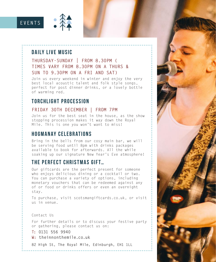# **EVENTS**



## **DAILY LIVE MUSIC**

## **THURSDAY-SUNDAY | FROM 8.30PM ( TIMES VARY FROM 8.30PM ON A THURS & SUN TO 9.30PM ON A FRI AND SAT)**

Join us every weekend in winter and enjoy the very best local acoustic talent and folk style songs, perfect for post dinner drinks, or a lovely bottle of warming red.

## **TORCHLIGHT PROCESSION**

#### **FRIDAY 30TH DECEMBER | FROM 7PM**

Join us for the best seat in the house, as the show stopping procession makes it way down the Royal Mile. This is one you won't want to miss!

## **HOGMANAY CELEBRATIONS**

Bring in the bells from our cosy main bar, we will be serving food until 8pm with drinks packages available to book for afterwards. All the while soaking up our signature New Year's Eve atmosphere!

# **THE PERFECT CHRISTMAS GIFT…**

Our giftcards are the perfect present for someone who enjoys delicious dining or a cocktail or two. You can purchase a variety of options, including monetary vouchers that can be redeemed against any of or food or drinks offers or even an overnight stay.

To purchase, visit scotsmangiftcards.co.uk, or visit us in venue.

Contact Us

For further details or to discuss your festive party or gathering, please contact us on:

- **T: 0131 556 9940**
- **W: theinnonthemile.co.uk**

**82 High St, The Royal Mile, Edinburgh, EH1 1LL**